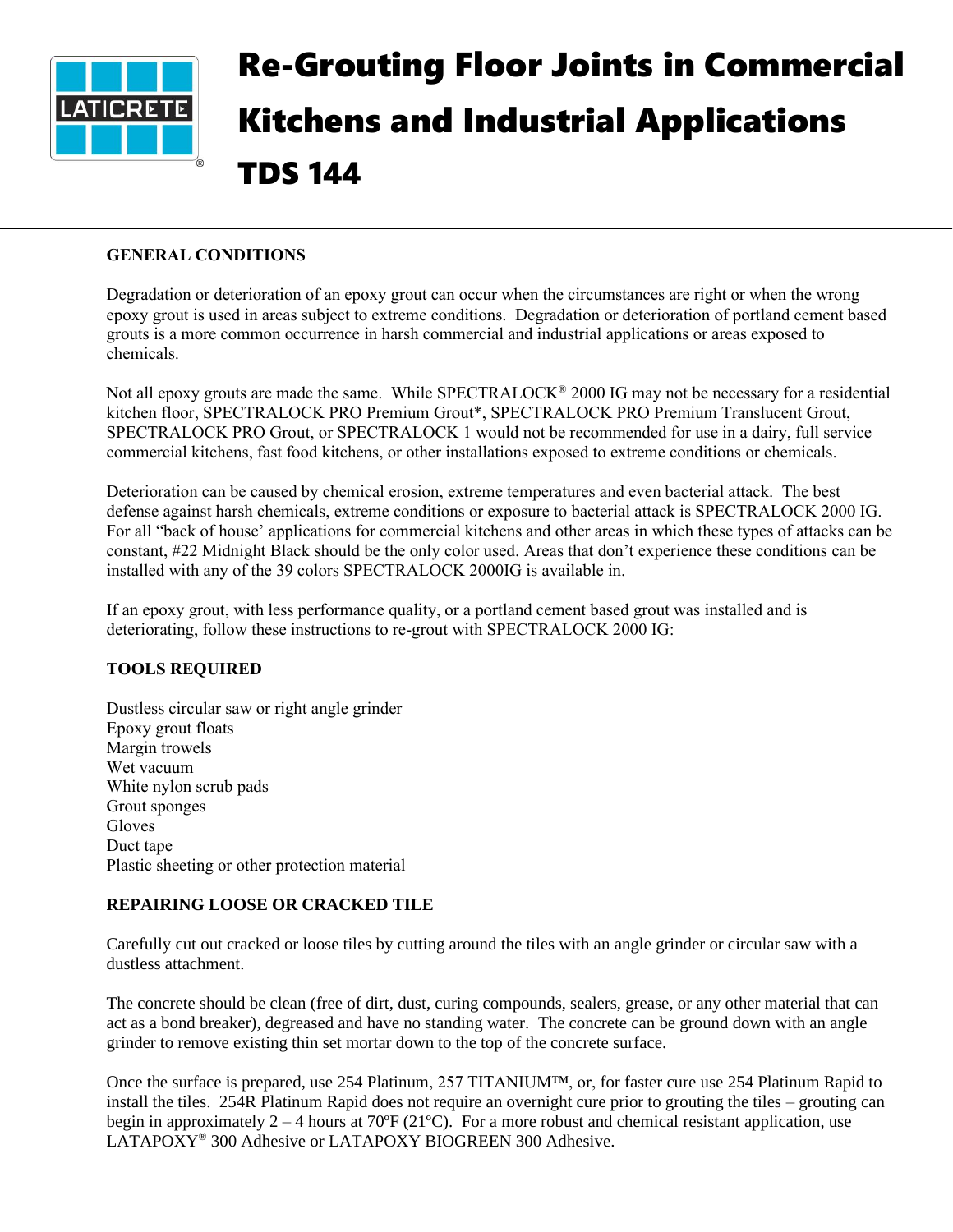

# Re-Grouting Floor Joints in Commercial Kitchens and Industrial Applications TDS 144

## **GENERAL CONDITIONS**

Degradation or deterioration of an epoxy grout can occur when the circumstances are right or when the wrong epoxy grout is used in areas subject to extreme conditions. Degradation or deterioration of portland cement based grouts is a more common occurrence in harsh commercial and industrial applications or areas exposed to chemicals.

Not all epoxy grouts are made the same. While SPECTRALOCK<sup>®</sup> 2000 IG may not be necessary for a residential kitchen floor, SPECTRALOCK PRO Premium Grout\*, SPECTRALOCK PRO Premium Translucent Grout, SPECTRALOCK PRO Grout, or SPECTRALOCK 1 would not be recommended for use in a dairy, full service commercial kitchens, fast food kitchens, or other installations exposed to extreme conditions or chemicals.

Deterioration can be caused by chemical erosion, extreme temperatures and even bacterial attack. The best defense against harsh chemicals, extreme conditions or exposure to bacterial attack is SPECTRALOCK 2000 IG. For all "back of house' applications for commercial kitchens and other areas in which these types of attacks can be constant, #22 Midnight Black should be the only color used. Areas that don't experience these conditions can be installed with any of the 39 colors SPECTRALOCK 2000IG is available in.

If an epoxy grout, with less performance quality, or a portland cement based grout was installed and is deteriorating, follow these instructions to re-grout with SPECTRALOCK 2000 IG:

## **TOOLS REQUIRED**

Dustless circular saw or right angle grinder Epoxy grout floats Margin trowels Wet vacuum White nylon scrub pads Grout sponges Gloves Duct tape Plastic sheeting or other protection material

#### **REPAIRING LOOSE OR CRACKED TILE**

Carefully cut out cracked or loose tiles by cutting around the tiles with an angle grinder or circular saw with a dustless attachment.

The concrete should be clean (free of dirt, dust, curing compounds, sealers, grease, or any other material that can act as a bond breaker), degreased and have no standing water. The concrete can be ground down with an angle grinder to remove existing thin set mortar down to the top of the concrete surface.

Once the surface is prepared, use 254 Platinum, 257 TITANIUM™, or, for faster cure use 254 Platinum Rapid to install the tiles. 254R Platinum Rapid does not require an overnight cure prior to grouting the tiles – grouting can begin in approximately  $2 - 4$  hours at 70 $\degree$ F (21 $\degree$ C). For a more robust and chemical resistant application, use LATAPOXY® 300 Adhesive or LATAPOXY BIOGREEN 300 Adhesive.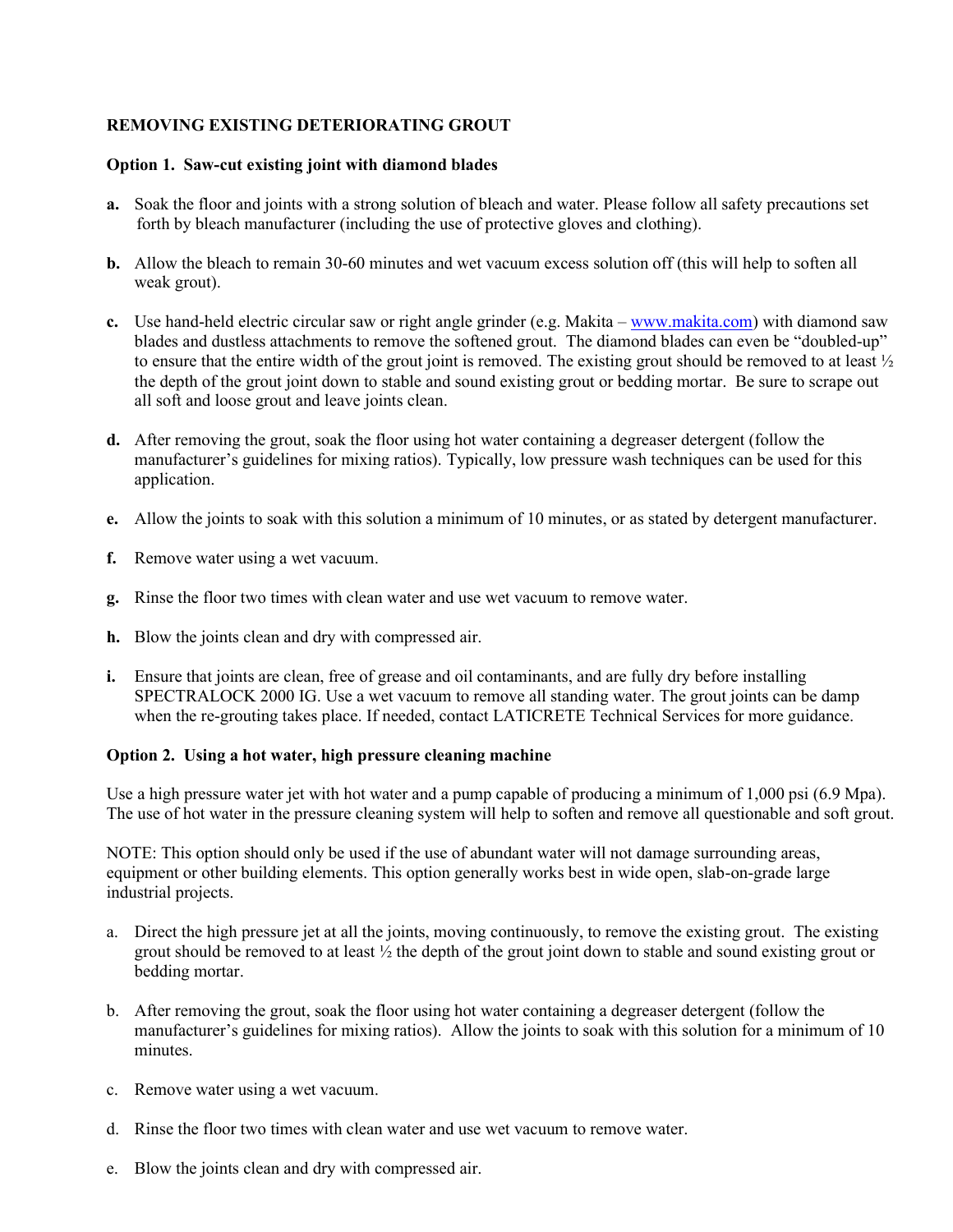## **REMOVING EXISTING DETERIORATING GROUT**

#### **Option 1. Saw-cut existing joint with diamond blades**

- **a.** Soak the floor and joints with a strong solution of bleach and water. Please follow all safety precautions set forth by bleach manufacturer (including the use of protective gloves and clothing).
- **b.** Allow the bleach to remain 30-60 minutes and wet vacuum excess solution off (this will help to soften all weak grout).
- **c.** Use hand-held electric circular saw or right angle grinder (e.g. Makita [www.makita.com\)](http://www.makita.com/) with diamond saw blades and dustless attachments to remove the softened grout. The diamond blades can even be "doubled-up" to ensure that the entire width of the grout joint is removed. The existing grout should be removed to at least ½ the depth of the grout joint down to stable and sound existing grout or bedding mortar. Be sure to scrape out all soft and loose grout and leave joints clean.
- **d.** After removing the grout, soak the floor using hot water containing a degreaser detergent (follow the manufacturer's guidelines for mixing ratios). Typically, low pressure wash techniques can be used for this application.
- **e.** Allow the joints to soak with this solution a minimum of 10 minutes, or as stated by detergent manufacturer.
- **f.** Remove water using a wet vacuum.
- **g.** Rinse the floor two times with clean water and use wet vacuum to remove water.
- **h.** Blow the joints clean and dry with compressed air.
- **i.** Ensure that joints are clean, free of grease and oil contaminants, and are fully dry before installing SPECTRALOCK 2000 IG. Use a wet vacuum to remove all standing water. The grout joints can be damp when the re-grouting takes place. If needed, contact LATICRETE Technical Services for more guidance.

#### **Option 2. Using a hot water, high pressure cleaning machine**

Use a high pressure water jet with hot water and a pump capable of producing a minimum of 1,000 psi (6.9 Mpa). The use of hot water in the pressure cleaning system will help to soften and remove all questionable and soft grout.

NOTE: This option should only be used if the use of abundant water will not damage surrounding areas, equipment or other building elements. This option generally works best in wide open, slab-on-grade large industrial projects.

- a. Direct the high pressure jet at all the joints, moving continuously, to remove the existing grout. The existing grout should be removed to at least ½ the depth of the grout joint down to stable and sound existing grout or bedding mortar.
- b. After removing the grout, soak the floor using hot water containing a degreaser detergent (follow the manufacturer's guidelines for mixing ratios). Allow the joints to soak with this solution for a minimum of 10 minutes.
- c. Remove water using a wet vacuum.
- d. Rinse the floor two times with clean water and use wet vacuum to remove water.
- e. Blow the joints clean and dry with compressed air.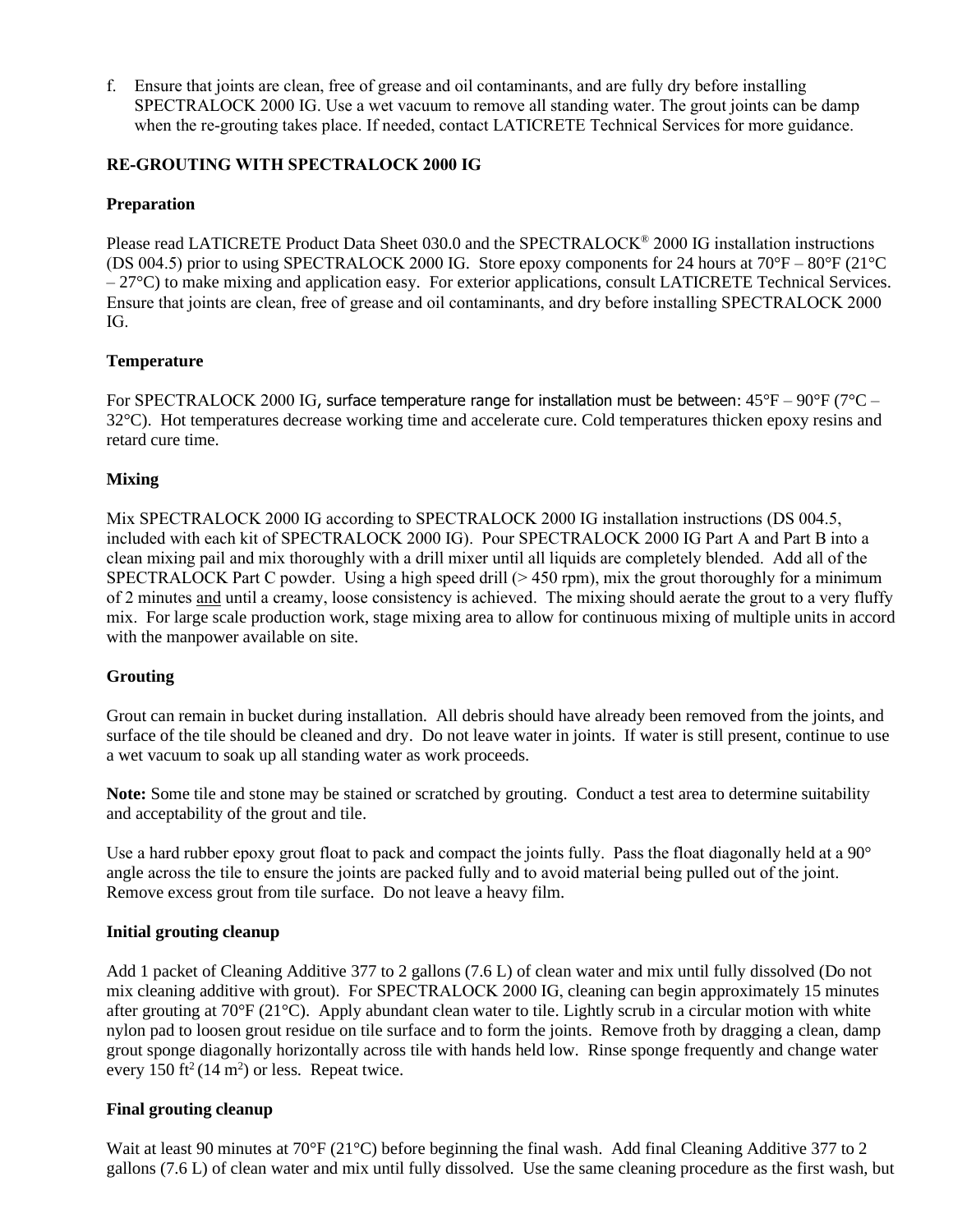f. Ensure that joints are clean, free of grease and oil contaminants, and are fully dry before installing SPECTRALOCK 2000 IG. Use a wet vacuum to remove all standing water. The grout joints can be damp when the re-grouting takes place. If needed, contact LATICRETE Technical Services for more guidance.

## **RE-GROUTING WITH SPECTRALOCK 2000 IG**

## **Preparation**

Please read LATICRETE Product Data Sheet 030.0 and the SPECTRALOCK® 2000 IG installation instructions (DS 004.5) prior to using SPECTRALOCK 2000 IG. Store epoxy components for 24 hours at 70°F – 80°F (21°C – 27°C) to make mixing and application easy. For exterior applications, consult LATICRETE Technical Services. Ensure that joints are clean, free of grease and oil contaminants, and dry before installing SPECTRALOCK 2000 IG.

## **Temperature**

For SPECTRALOCK 2000 IG, surface temperature range for installation must be between:  $45^{\circ}F - 90^{\circ}F$  (7 $^{\circ}C -$ 32°C). Hot temperatures decrease working time and accelerate cure. Cold temperatures thicken epoxy resins and retard cure time.

## **Mixing**

Mix SPECTRALOCK 2000 IG according to SPECTRALOCK 2000 IG installation instructions (DS 004.5, included with each kit of SPECTRALOCK 2000 IG). Pour SPECTRALOCK 2000 IG Part A and Part B into a clean mixing pail and mix thoroughly with a drill mixer until all liquids are completely blended. Add all of the SPECTRALOCK Part C powder. Using a high speed drill ( $> 450$  rpm), mix the grout thoroughly for a minimum of 2 minutes and until a creamy, loose consistency is achieved. The mixing should aerate the grout to a very fluffy mix. For large scale production work, stage mixing area to allow for continuous mixing of multiple units in accord with the manpower available on site.

#### **Grouting**

Grout can remain in bucket during installation. All debris should have already been removed from the joints, and surface of the tile should be cleaned and dry. Do not leave water in joints. If water is still present, continue to use a wet vacuum to soak up all standing water as work proceeds.

**Note:** Some tile and stone may be stained or scratched by grouting. Conduct a test area to determine suitability and acceptability of the grout and tile.

Use a hard rubber epoxy grout float to pack and compact the joints fully. Pass the float diagonally held at a  $90^{\circ}$ angle across the tile to ensure the joints are packed fully and to avoid material being pulled out of the joint. Remove excess grout from tile surface. Do not leave a heavy film.

#### **Initial grouting cleanup**

Add 1 packet of Cleaning Additive 377 to 2 gallons (7.6 L) of clean water and mix until fully dissolved (Do not mix cleaning additive with grout). For SPECTRALOCK 2000 IG, cleaning can begin approximately 15 minutes after grouting at 70°F (21°C). Apply abundant clean water to tile. Lightly scrub in a circular motion with white nylon pad to loosen grout residue on tile surface and to form the joints. Remove froth by dragging a clean, damp grout sponge diagonally horizontally across tile with hands held low. Rinse sponge frequently and change water every 150 ft<sup>2</sup> (14 m<sup>2</sup>) or less. Repeat twice.

#### **Final grouting cleanup**

Wait at least 90 minutes at 70°F (21°C) before beginning the final wash. Add final Cleaning Additive 377 to 2 gallons (7.6 L) of clean water and mix until fully dissolved. Use the same cleaning procedure as the first wash, but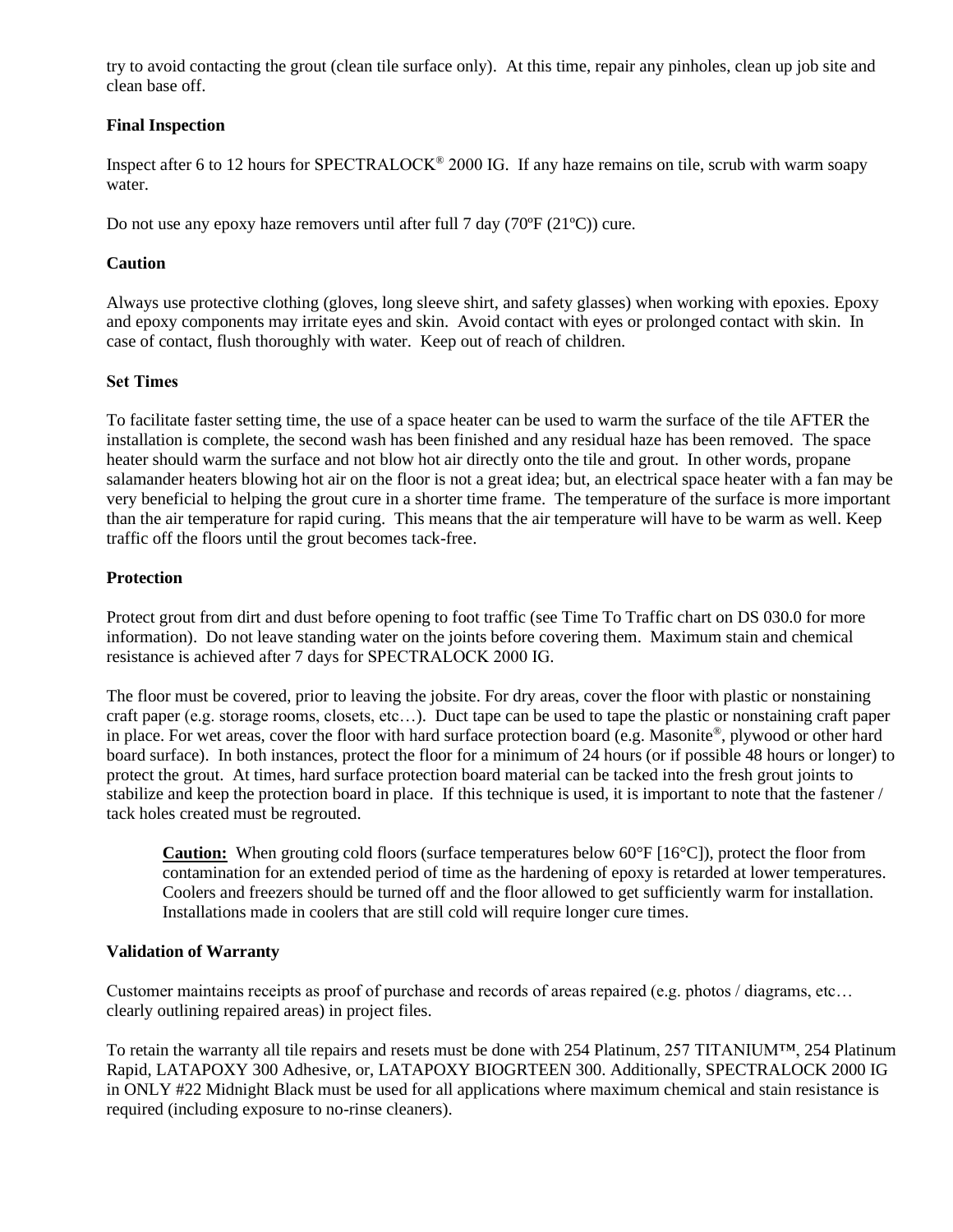try to avoid contacting the grout (clean tile surface only). At this time, repair any pinholes, clean up job site and clean base off.

## **Final Inspection**

Inspect after 6 to 12 hours for SPECTRALOCK® 2000 IG. If any haze remains on tile, scrub with warm soapy water.

Do not use any epoxy haze removers until after full 7 day (70ºF (21ºC)) cure.

#### **Caution**

Always use protective clothing (gloves, long sleeve shirt, and safety glasses) when working with epoxies. Epoxy and epoxy components may irritate eyes and skin. Avoid contact with eyes or prolonged contact with skin. In case of contact, flush thoroughly with water. Keep out of reach of children.

## **Set Times**

To facilitate faster setting time, the use of a space heater can be used to warm the surface of the tile AFTER the installation is complete, the second wash has been finished and any residual haze has been removed. The space heater should warm the surface and not blow hot air directly onto the tile and grout. In other words, propane salamander heaters blowing hot air on the floor is not a great idea; but, an electrical space heater with a fan may be very beneficial to helping the grout cure in a shorter time frame. The temperature of the surface is more important than the air temperature for rapid curing. This means that the air temperature will have to be warm as well. Keep traffic off the floors until the grout becomes tack-free.

## **Protection**

Protect grout from dirt and dust before opening to foot traffic (see Time To Traffic chart on DS 030.0 for more information). Do not leave standing water on the joints before covering them. Maximum stain and chemical resistance is achieved after 7 days for SPECTRALOCK 2000 IG.

The floor must be covered, prior to leaving the jobsite. For dry areas, cover the floor with plastic or nonstaining craft paper (e.g. storage rooms, closets, etc…). Duct tape can be used to tape the plastic or nonstaining craft paper in place. For wet areas, cover the floor with hard surface protection board (e.g. Masonite®, plywood or other hard board surface). In both instances, protect the floor for a minimum of 24 hours (or if possible 48 hours or longer) to protect the grout. At times, hard surface protection board material can be tacked into the fresh grout joints to stabilize and keep the protection board in place. If this technique is used, it is important to note that the fastener / tack holes created must be regrouted.

**Caution:** When grouting cold floors (surface temperatures below 60°F [16°C]), protect the floor from contamination for an extended period of time as the hardening of epoxy is retarded at lower temperatures. Coolers and freezers should be turned off and the floor allowed to get sufficiently warm for installation. Installations made in coolers that are still cold will require longer cure times.

#### **Validation of Warranty**

Customer maintains receipts as proof of purchase and records of areas repaired (e.g. photos / diagrams, etc… clearly outlining repaired areas) in project files.

To retain the warranty all tile repairs and resets must be done with 254 Platinum, 257 TITANIUM™, 254 Platinum Rapid, LATAPOXY 300 Adhesive, or, LATAPOXY BIOGRTEEN 300. Additionally, SPECTRALOCK 2000 IG in ONLY #22 Midnight Black must be used for all applications where maximum chemical and stain resistance is required (including exposure to no-rinse cleaners).